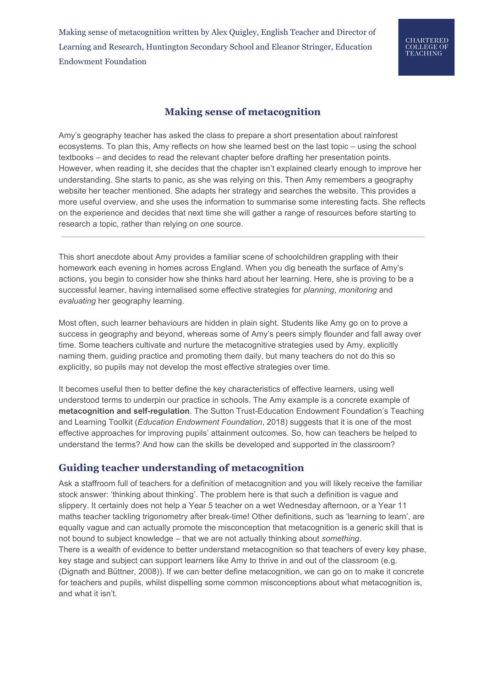Making sense of metacognition written by Alex Quigley, English Teacher and Director of Learning and Research, Huntington Secondary School and Eleanor Stringer, Education Endowment Foundation

# **CHARTERED COLLEGE OF<br>TEACHING**

## **Making sense of metacognition**

Amy's geography teacher has asked the class to prepare a short presentation about rainforest ecosystems. To plan this, Amy reflects on how she learned best on the last topic – using the school textbooks – and decides to read the relevant chapter before drafting her presentation points. However, when reading it, she decides that the chapter isn't explained clearly enough to improve her understanding. She starts to panic, as she was relying on this. Then Amy remembers a geography website her teacher mentioned. She adapts her strategy and searches the website. This provides a more useful overview, and she uses the information to summarise some interesting facts. She reflects on the experience and decides that next time she will gather a range of resources before starting to research a topic, rather than relying on one source.

This short anecdote about Amy provides a familiar scene of schoolchildren grappling with their homework each evening in homes across England. When you dig beneath the surface of Amy's actions, you begin to consider how she thinks hard about her learning. Here, she is proving to be a successful learner, having internalised some effective strategies for *planning*, *monitoring* and *evaluating* her geography learning.

Most often, such learner behaviours are hidden in plain sight. Students like Amy go on to prove a success in geography and beyond, whereas some of Amy's peers simply flounder and fall away over time. Some teachers cultivate and nurture the metacognitive strategies used by Amy, explicitly naming them, guiding practice and promoting them daily, but many teachers do not do this so explicitly, so pupils may not develop the most effective strategies over time.

It becomes useful then to better define the key characteristics of effective learners, using well understood terms to underpin our practice in schools. The Amy example is a concrete example of **metacognition and self-regulation**. The Sutton Trust-Education Endowment Foundation's Teaching and Learning Toolkit (*Education Endowment Foundation*, 2018) suggests that it is one of the most effective approaches for improving pupils' attainment outcomes. So, how can teachers be helped to understand the terms? And how can the skills be developed and supported in the classroom?

### **Guiding teacher understanding of metacognition**

Ask a staffroom full of teachers for a definition of metacognition and you will likely receive the familiar stock answer: 'thinking about thinking'. The problem here is that such a definition is vague and slippery. It certainly does not help a Year 5 teacher on a wet Wednesday afternoon, or a Year 11 maths teacher tackling trigonometry after break-time! Other definitions, such as 'learning to learn', are equally vague and can actually promote the misconception that metacognition is a generic skill that is not bound to subject knowledge – that we are not actually thinking about *something*. There is a wealth of evidence to better understand metacognition so that teachers of every key phase, key stage and subject can support learners like Amy to thrive in and out of the classroom (e.g. (Dignath and Büttner, 2008)). If we can better define metacognition, we can go on to make it concrete for teachers and pupils, whilst dispelling some common misconceptions about what metacognition is, and what it isn't.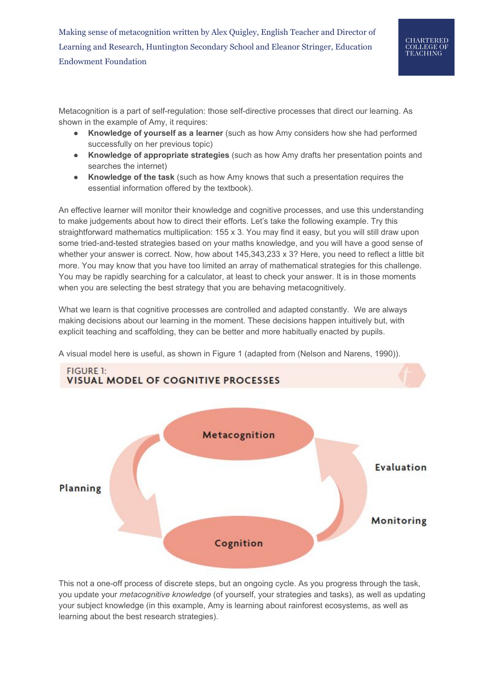Metacognition is a part of self-regulation: those self-directive processes that direct our learning. As shown in the example of Amy, it requires:

- **Knowledge of yourself as a learner** (such as how Amy considers how she had performed successfully on her previous topic)
- **Knowledge of appropriate strategies** (such as how Amy drafts her presentation points and searches the internet)
- **Knowledge of the task** (such as how Amy knows that such a presentation requires the essential information offered by the textbook).

An effective learner will monitor their knowledge and cognitive processes, and use this understanding to make judgements about how to direct their efforts. Let's take the following example. Try this straightforward mathematics multiplication: 155 x 3. You may find it easy, but you will still draw upon some tried-and-tested strategies based on your maths knowledge, and you will have a good sense of whether your answer is correct. Now, how about 145,343,233 x 3? Here, you need to reflect a little bit more. You may know that you have too limited an array of mathematical strategies for this challenge. You may be rapidly searching for a calculator, at least to check your answer. It is in those moments when you are selecting the best strategy that you are behaving metacognitively.

What we learn is that cognitive processes are controlled and adapted constantly. We are always making decisions about our learning in the moment. These decisions happen intuitively but, with explicit teaching and scaffolding, they can be better and more habitually enacted by pupils.



A visual model here is useful, as shown in Figure 1 (adapted from (Nelson and Narens, 1990)).

This not a one-off process of discrete steps, but an ongoing cycle. As you progress through the task, you update your *metacognitive knowledge* (of yourself, your strategies and tasks), as well as updating your subject knowledge (in this example, Amy is learning about rainforest ecosystems, as well as learning about the best research strategies).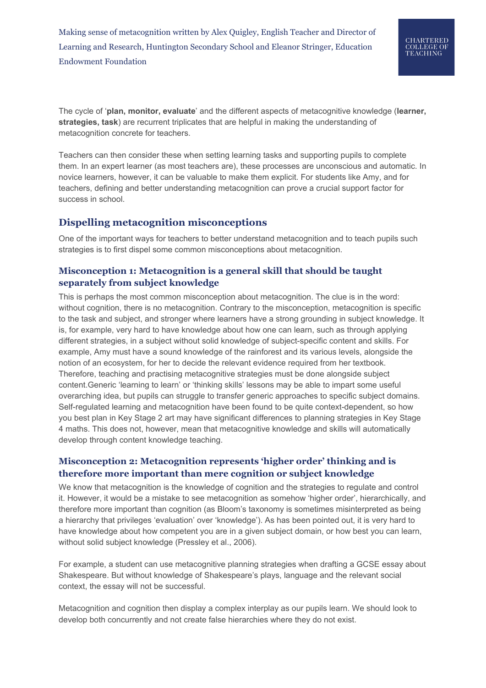Making sense of metacognition written by Alex Quigley, English Teacher and Director of Learning and Research, Huntington Secondary School and Eleanor Stringer, Education Endowment Foundation

The cycle of '**plan, monitor, evaluate**' and the different aspects of metacognitive knowledge (**learner, strategies, task**) are recurrent triplicates that are helpful in making the understanding of metacognition concrete for teachers.

Teachers can then consider these when setting learning tasks and supporting pupils to complete them. In an expert learner (as most teachers are), these processes are unconscious and automatic. In novice learners, however, it can be valuable to make them explicit. For students like Amy, and for teachers, defining and better understanding metacognition can prove a crucial support factor for success in school.

## **Dispelling metacognition misconceptions**

One of the important ways for teachers to better understand metacognition and to teach pupils such strategies is to first dispel some common misconceptions about metacognition.

### **Misconception 1: Metacognition is a general skill that should be taught separately from subject knowledge**

This is perhaps the most common misconception about metacognition. The clue is in the word: without cognition, there is no metacognition. Contrary to the misconception, metacognition is specific to the task and subject, and stronger where learners have a strong grounding in subject knowledge. It is, for example, very hard to have knowledge about how one can learn, such as through applying different strategies, in a subject without solid knowledge of subject-specific content and skills. For example, Amy must have a sound knowledge of the rainforest and its various levels, alongside the notion of an ecosystem, for her to decide the relevant evidence required from her textbook. Therefore, teaching and practising metacognitive strategies must be done alongside subject content.Generic 'learning to learn' or 'thinking skills' lessons may be able to impart some useful overarching idea, but pupils can struggle to transfer generic approaches to specific subject domains. Self-regulated learning and metacognition have been found to be quite context-dependent, so how you best plan in Key Stage 2 art may have significant differences to planning strategies in Key Stage 4 maths. This does not, however, mean that metacognitive knowledge and skills will automatically develop through content knowledge teaching.

### **Misconception 2: Metacognition represents 'higher order' thinking and is therefore more important than mere cognition or subject knowledge**

We know that metacognition is the knowledge of cognition and the strategies to regulate and control it. However, it would be a mistake to see metacognition as somehow 'higher order', hierarchically, and therefore more important than cognition (as Bloom's taxonomy is sometimes misinterpreted as being a hierarchy that privileges 'evaluation' over 'knowledge'). As has been pointed out, it is very hard to have knowledge about how competent you are in a given subject domain, or how best you can learn, without solid subject knowledge (Pressley et al., 2006).

For example, a student can use metacognitive planning strategies when drafting a GCSE essay about Shakespeare. But without knowledge of Shakespeare's plays, language and the relevant social context, the essay will not be successful.

Metacognition and cognition then display a complex interplay as our pupils learn. We should look to develop both concurrently and not create false hierarchies where they do not exist.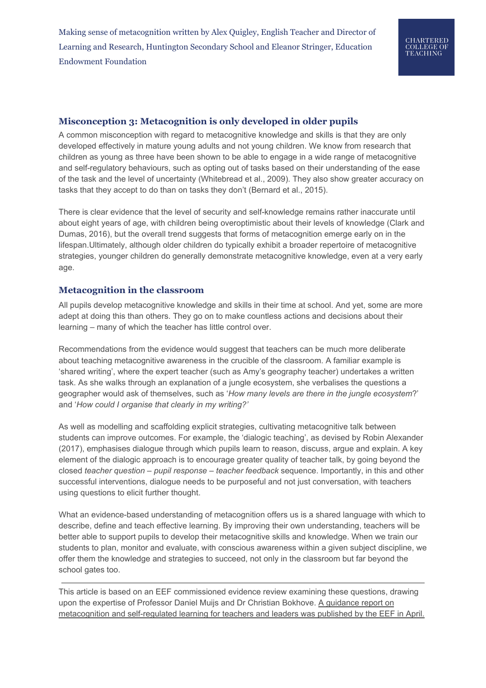Making sense of metacognition written by Alex Quigley, English Teacher and Director of Learning and Research, Huntington Secondary School and Eleanor Stringer, Education Endowment Foundation

#### **Misconception 3: Metacognition is only developed in older pupils**

A common misconception with regard to metacognitive knowledge and skills is that they are only developed effectively in mature young adults and not young children. We know from research that children as young as three have been shown to be able to engage in a wide range of metacognitive and self-regulatory behaviours, such as opting out of tasks based on their understanding of the ease of the task and the level of uncertainty (Whitebread et al., 2009). They also show greater accuracy on tasks that they accept to do than on tasks they don't (Bernard et al., 2015).

There is clear evidence that the level of security and self-knowledge remains rather inaccurate until about eight years of age, with children being overoptimistic about their levels of knowledge (Clark and Dumas, 2016), but the overall trend suggests that forms of metacognition emerge early on in the lifespan.Ultimately, although older children do typically exhibit a broader repertoire of metacognitive strategies, younger children do generally demonstrate metacognitive knowledge, even at a very early age.

#### **Metacognition in the classroom**

All pupils develop metacognitive knowledge and skills in their time at school. And yet, some are more adept at doing this than others. They go on to make countless actions and decisions about their learning – many of which the teacher has little control over.

Recommendations from the evidence would suggest that teachers can be much more deliberate about teaching metacognitive awareness in the crucible of the classroom. A familiar example is 'shared writing', where the expert teacher (such as Amy's geography teacher) undertakes a written task. As she walks through an explanation of a jungle ecosystem, she verbalises the questions a geographer would ask of themselves, such as '*How many levels are there in the jungle ecosystem*?' and '*How could I organise that clearly in my writing?'*

As well as modelling and scaffolding explicit strategies, cultivating metacognitive talk between students can improve outcomes. For example, the 'dialogic teaching', as devised by Robin Alexander (2017), emphasises dialogue through which pupils learn to reason, discuss, argue and explain. A key element of the dialogic approach is to encourage greater quality of teacher talk, by going beyond the closed *teacher question – pupil response – teacher feedback* sequence. Importantly, in this and other successful interventions, dialogue needs to be purposeful and not just conversation, with teachers using questions to elicit further thought.

What an evidence-based understanding of metacognition offers us is a shared language with which to describe, define and teach effective learning. By improving their own understanding, teachers will be better able to support pupils to develop their metacognitive skills and knowledge. When we train our students to plan, monitor and evaluate, with conscious awareness within a given subject discipline, we offer them the knowledge and strategies to succeed, not only in the classroom but far beyond the school gates too.

This article is based on an EEF commissioned evidence review examining these questions, drawing upon the expertise of Professor Daniel Muijs and Dr Christian Bokhove. A [guidance](https://educationendowmentfoundation.org.uk/news/new-guidance-on-how-to-develop-pupils-metacognitive-skills) report on [metacognition](https://educationendowmentfoundation.org.uk/news/new-guidance-on-how-to-develop-pupils-metacognitive-skills) and self-regulated learning for teachers and leaders was published by the EEF in April.